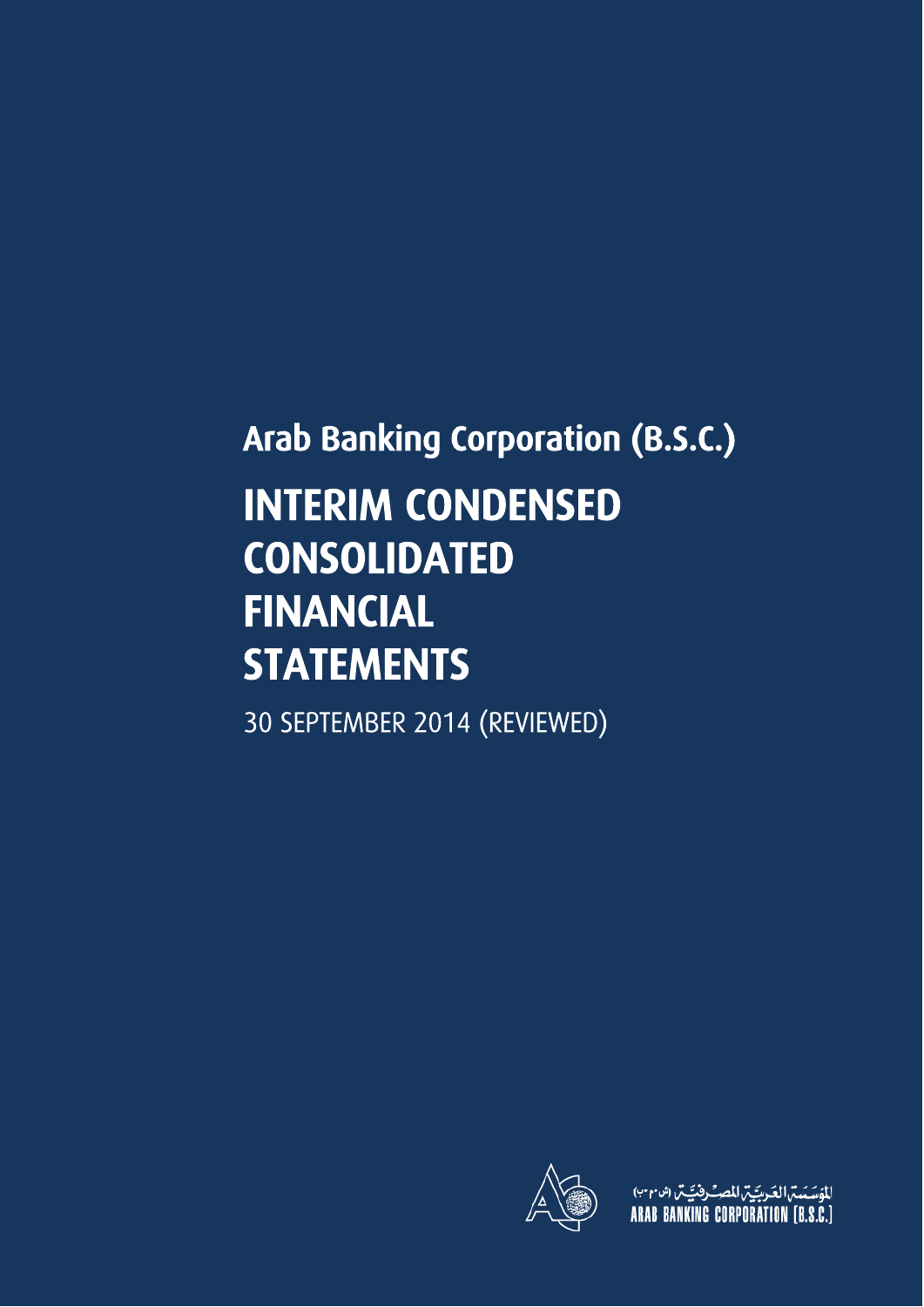# Arab Banking Corporation (B.S.C.) INTERIM CONDENSED CONSOLIDATED FINANCIAL **STATEMENTS**

30 SEPTEMBER 2014 (REVIEWED)



للؤسَسَسّ العَربيّيّ للصِّرفيَيّسٌ (شَهَرَب)<br>ARAB BANKING CORPORATION [B.S.C.]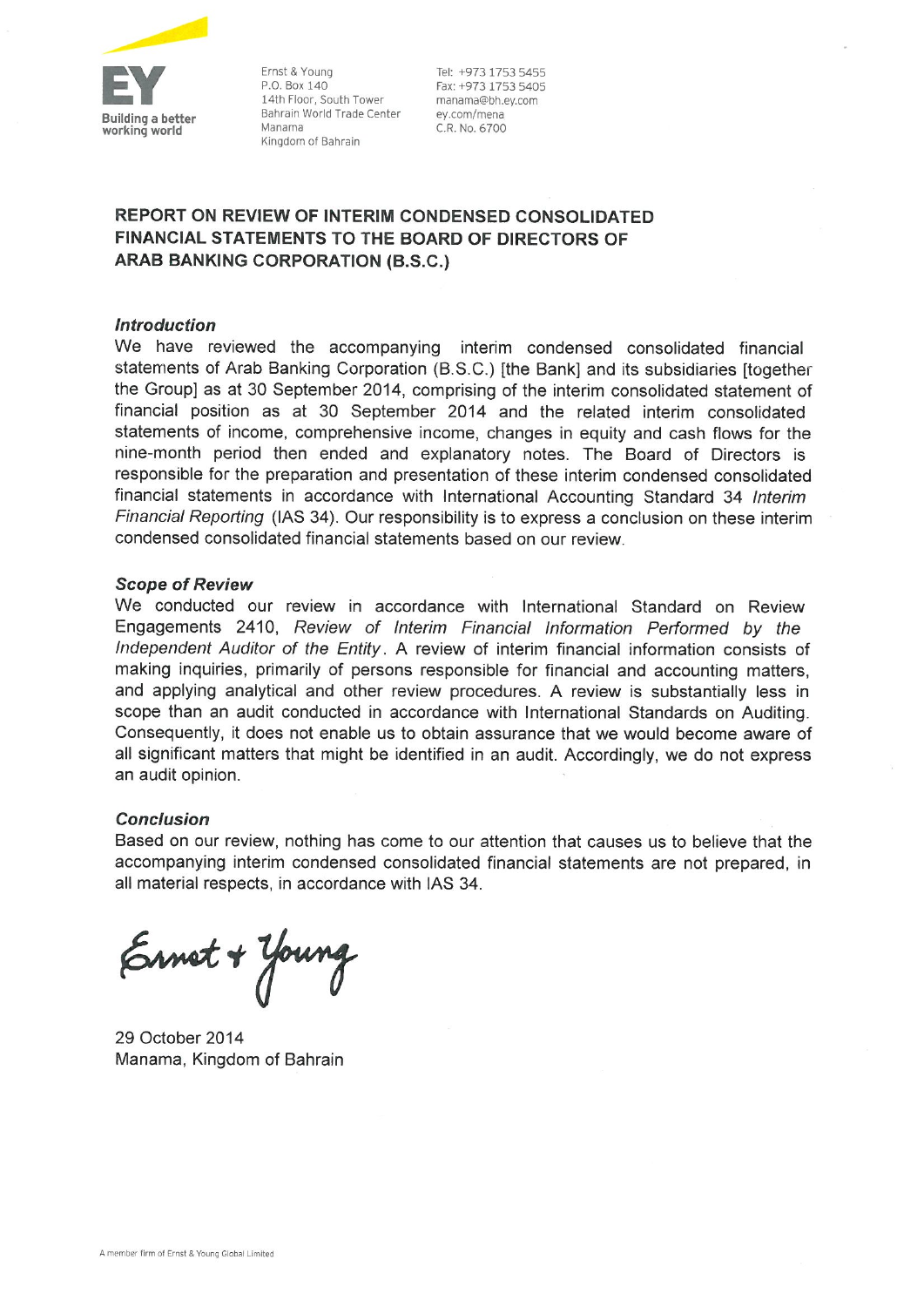

Ernst & Young P.O. Box 140 14th Floor, South Tower Bahrain World Trade Center Manama Kingdom of Bahrain

Tel: +973 1753 5455 Fax: +973 1753 5405 manama@bh.ev.com ey.com/mena C.R. No. 6700

### REPORT ON REVIEW OF INTERIM CONDENSED CONSOLIDATED FINANCIAL STATEMENTS TO THE BOARD OF DIRECTORS OF **ARAB BANKING CORPORATION (B.S.C.)**

#### **Introduction**

We have reviewed the accompanying interim condensed consolidated financial statements of Arab Banking Corporation (B.S.C.) [the Bank] and its subsidiaries [together the Group] as at 30 September 2014, comprising of the interim consolidated statement of financial position as at 30 September 2014 and the related interim consolidated statements of income, comprehensive income, changes in equity and cash flows for the nine-month period then ended and explanatory notes. The Board of Directors is responsible for the preparation and presentation of these interim condensed consolidated financial statements in accordance with International Accounting Standard 34 Interim Financial Reporting (IAS 34). Our responsibility is to express a conclusion on these interim condensed consolidated financial statements based on our review.

#### **Scope of Review**

We conducted our review in accordance with International Standard on Review Engagements 2410, Review of Interim Financial Information Performed by the Independent Auditor of the Entity. A review of interim financial information consists of making inquiries, primarily of persons responsible for financial and accounting matters, and applying analytical and other review procedures. A review is substantially less in scope than an audit conducted in accordance with International Standards on Auditing. Consequently, it does not enable us to obtain assurance that we would become aware of all significant matters that might be identified in an audit. Accordingly, we do not express an audit opinion.

#### **Conclusion**

Based on our review, nothing has come to our attention that causes us to believe that the accompanying interim condensed consolidated financial statements are not prepared, in all material respects, in accordance with IAS 34.

Ernet + Young

29 October 2014 Manama, Kingdom of Bahrain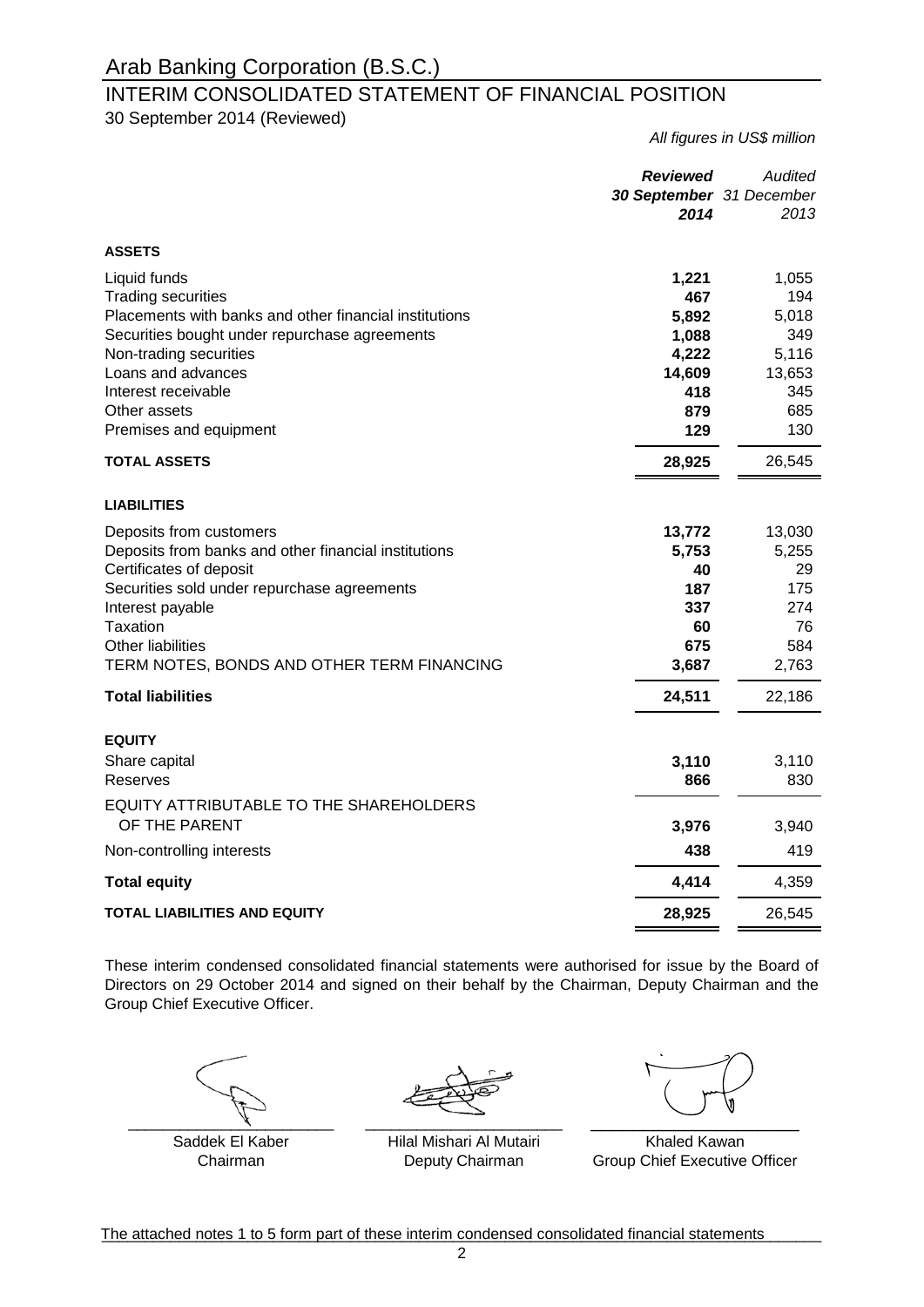### INTERIM CONSOLIDATED STATEMENT OF FINANCIAL POSITION

30 September 2014 (Reviewed)

*All figures in US\$ million*

|                                                                                                                                                                                                                                                                       | <b>Reviewed</b><br>30 September 31 December<br>2014                    | Audited<br>2013                                                      |
|-----------------------------------------------------------------------------------------------------------------------------------------------------------------------------------------------------------------------------------------------------------------------|------------------------------------------------------------------------|----------------------------------------------------------------------|
| <b>ASSETS</b>                                                                                                                                                                                                                                                         |                                                                        |                                                                      |
| Liquid funds<br><b>Trading securities</b><br>Placements with banks and other financial institutions<br>Securities bought under repurchase agreements<br>Non-trading securities<br>Loans and advances<br>Interest receivable<br>Other assets<br>Premises and equipment | 1,221<br>467<br>5,892<br>1,088<br>4,222<br>14,609<br>418<br>879<br>129 | 1,055<br>194<br>5,018<br>349<br>5,116<br>13,653<br>345<br>685<br>130 |
| <b>TOTAL ASSETS</b>                                                                                                                                                                                                                                                   | 28,925                                                                 | 26,545                                                               |
|                                                                                                                                                                                                                                                                       |                                                                        |                                                                      |
| <b>LIABILITIES</b>                                                                                                                                                                                                                                                    |                                                                        |                                                                      |
| Deposits from customers<br>Deposits from banks and other financial institutions<br>Certificates of deposit<br>Securities sold under repurchase agreements<br>Interest payable<br>Taxation<br>Other liabilities<br>TERM NOTES, BONDS AND OTHER TERM FINANCING          | 13,772<br>5,753<br>40<br>187<br>337<br>60<br>675<br>3,687              | 13,030<br>5,255<br>29<br>175<br>274<br>76<br>584<br>2,763            |
| <b>Total liabilities</b>                                                                                                                                                                                                                                              | 24,511                                                                 | 22,186                                                               |
| <b>EQUITY</b><br>Share capital<br>Reserves                                                                                                                                                                                                                            | 3,110<br>866                                                           | 3,110<br>830                                                         |
| EQUITY ATTRIBUTABLE TO THE SHAREHOLDERS<br>OF THE PARENT                                                                                                                                                                                                              | 3,976                                                                  | 3,940                                                                |
| Non-controlling interests                                                                                                                                                                                                                                             | 438                                                                    | 419                                                                  |
| <b>Total equity</b>                                                                                                                                                                                                                                                   | 4,414                                                                  | 4,359                                                                |
| TOTAL LIABILITIES AND EQUITY                                                                                                                                                                                                                                          | 28,925                                                                 | 26,545                                                               |

These interim condensed consolidated financial statements were authorised for issue by the Board of Directors on 29 October 2014 and signed on their behalf by the Chairman, Deputy Chairman and the Group Chief Executive Officer.

\_\_\_\_\_\_\_\_\_\_\_\_\_\_\_\_\_\_\_\_\_\_\_\_ \_\_\_\_\_\_\_\_\_\_\_\_\_\_\_\_\_\_\_\_

Saddek El Kaber Chairman

\_\_\_\_\_\_\_\_\_\_\_\_\_\_\_\_\_\_\_\_\_\_\_

Hilal Mishari Al Mutairi Deputy Chairman

Khaled Kawan Group Chief Executive Officer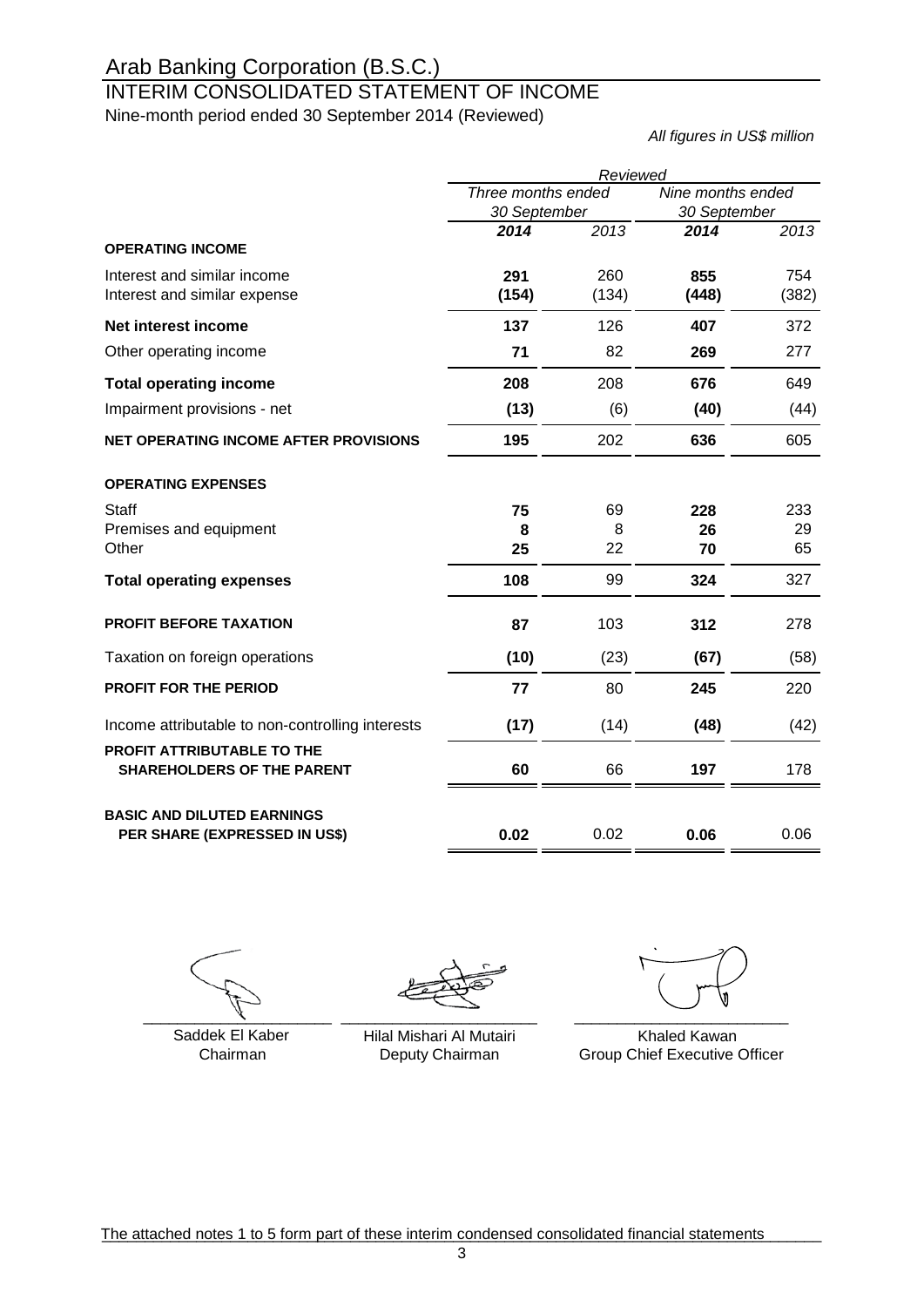## INTERIM CONSOLIDATED STATEMENT OF INCOME

Nine-month period ended 30 September 2014 (Reviewed)

*All figures in US\$ million*

|                                                                 | Reviewed           |       |                   |       |  |
|-----------------------------------------------------------------|--------------------|-------|-------------------|-------|--|
|                                                                 | Three months ended |       | Nine months ended |       |  |
|                                                                 | 30 September       |       | 30 September      |       |  |
|                                                                 | 2014               | 2013  | 2014              | 2013  |  |
| <b>OPERATING INCOME</b>                                         |                    |       |                   |       |  |
| Interest and similar income                                     | 291                | 260   | 855               | 754   |  |
| Interest and similar expense                                    | (154)              | (134) | (448)             | (382) |  |
| Net interest income                                             | 137                | 126   | 407               | 372   |  |
| Other operating income                                          | 71                 | 82    | 269               | 277   |  |
| <b>Total operating income</b>                                   | 208                | 208   | 676               | 649   |  |
| Impairment provisions - net                                     | (13)               | (6)   | (40)              | (44)  |  |
| NET OPERATING INCOME AFTER PROVISIONS                           | 195                | 202   | 636               | 605   |  |
| <b>OPERATING EXPENSES</b>                                       |                    |       |                   |       |  |
| Staff                                                           | 75                 | 69    | 228               | 233   |  |
| Premises and equipment                                          | 8                  | 8     | 26                | 29    |  |
| Other                                                           | 25                 | 22    | 70                | 65    |  |
| <b>Total operating expenses</b>                                 | 108                | 99    | 324               | 327   |  |
| <b>PROFIT BEFORE TAXATION</b>                                   | 87                 | 103   | 312               | 278   |  |
| Taxation on foreign operations                                  | (10)               | (23)  | (67)              | (58)  |  |
| <b>PROFIT FOR THE PERIOD</b>                                    | 77                 | 80    | 245               | 220   |  |
| Income attributable to non-controlling interests                | (17)               | (14)  | (48)              | (42)  |  |
| PROFIT ATTRIBUTABLE TO THE<br><b>SHAREHOLDERS OF THE PARENT</b> | 60                 | 66    | 197               | 178   |  |
| <b>BASIC AND DILUTED EARNINGS</b>                               |                    |       |                   |       |  |
| PER SHARE (EXPRESSED IN US\$)                                   | 0.02               | 0.02  | 0.06              | 0.06  |  |

 $\overline{X}$  and  $\overline{X}$  and  $\overline{X}$ 

Chairman

\_\_\_\_\_\_\_\_\_\_\_\_\_\_\_\_\_\_\_\_\_\_\_

Saddek El Kaber Hilal Mishari Al Mutairi Khaled Kawan Deputy Chairman

\_\_\_\_\_\_\_\_\_\_\_\_\_\_\_\_\_\_\_\_\_\_\_\_\_

Group Chief Executive Officer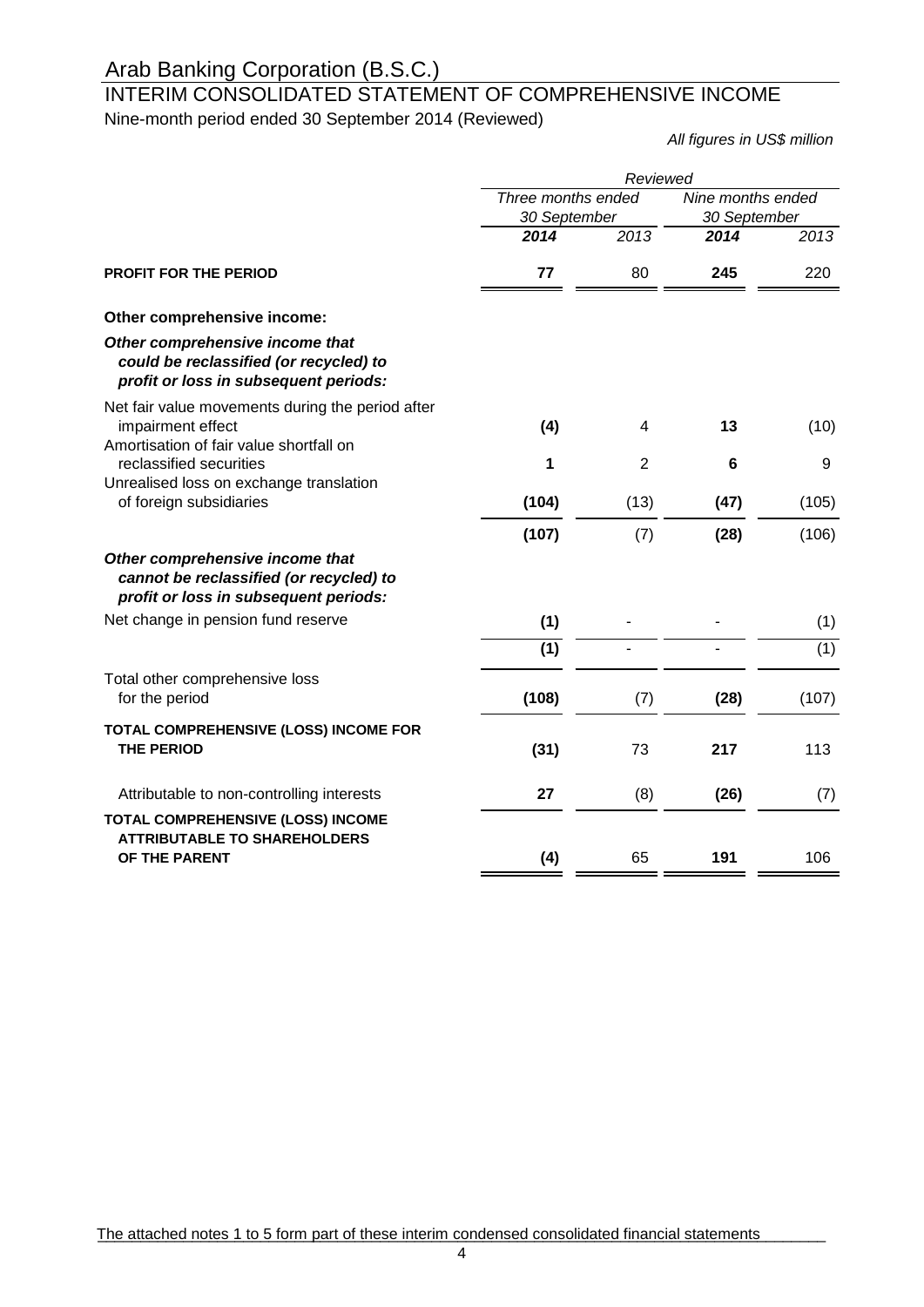### INTERIM CONSOLIDATED STATEMENT OF COMPREHENSIVE INCOME Nine-month period ended 30 September 2014 (Reviewed)

*All figures in US\$ million*

|                                                                                                                     | Reviewed                           |                |                                   |       |  |
|---------------------------------------------------------------------------------------------------------------------|------------------------------------|----------------|-----------------------------------|-------|--|
|                                                                                                                     | Three months ended<br>30 September |                | Nine months ended<br>30 September |       |  |
|                                                                                                                     | 2014                               | 2013           | 2014                              | 2013  |  |
| <b>PROFIT FOR THE PERIOD</b>                                                                                        | 77                                 | 80             | 245                               | 220   |  |
| Other comprehensive income:                                                                                         |                                    |                |                                   |       |  |
| Other comprehensive income that<br>could be reclassified (or recycled) to<br>profit or loss in subsequent periods:  |                                    |                |                                   |       |  |
| Net fair value movements during the period after<br>impairment effect<br>Amortisation of fair value shortfall on    | (4)                                | 4              | 13                                | (10)  |  |
| reclassified securities                                                                                             | 1                                  | $\overline{2}$ | 6                                 | 9     |  |
| Unrealised loss on exchange translation<br>of foreign subsidiaries                                                  | (104)                              | (13)           | (47)                              | (105) |  |
|                                                                                                                     | (107)                              | (7)            | (28)                              | (106) |  |
| Other comprehensive income that<br>cannot be reclassified (or recycled) to<br>profit or loss in subsequent periods: |                                    |                |                                   |       |  |
| Net change in pension fund reserve                                                                                  | (1)                                |                |                                   | (1)   |  |
|                                                                                                                     | (1)                                |                |                                   | (1)   |  |
| Total other comprehensive loss<br>for the period                                                                    | (108)                              | (7)            | (28)                              | (107) |  |
| TOTAL COMPREHENSIVE (LOSS) INCOME FOR<br><b>THE PERIOD</b>                                                          | (31)                               | 73             | 217                               | 113   |  |
| Attributable to non-controlling interests                                                                           | 27                                 | (8)            | (26)                              | (7)   |  |
| TOTAL COMPREHENSIVE (LOSS) INCOME<br><b>ATTRIBUTABLE TO SHAREHOLDERS</b>                                            |                                    |                |                                   |       |  |
| OF THE PARENT                                                                                                       | (4)                                | 65             | 191                               | 106   |  |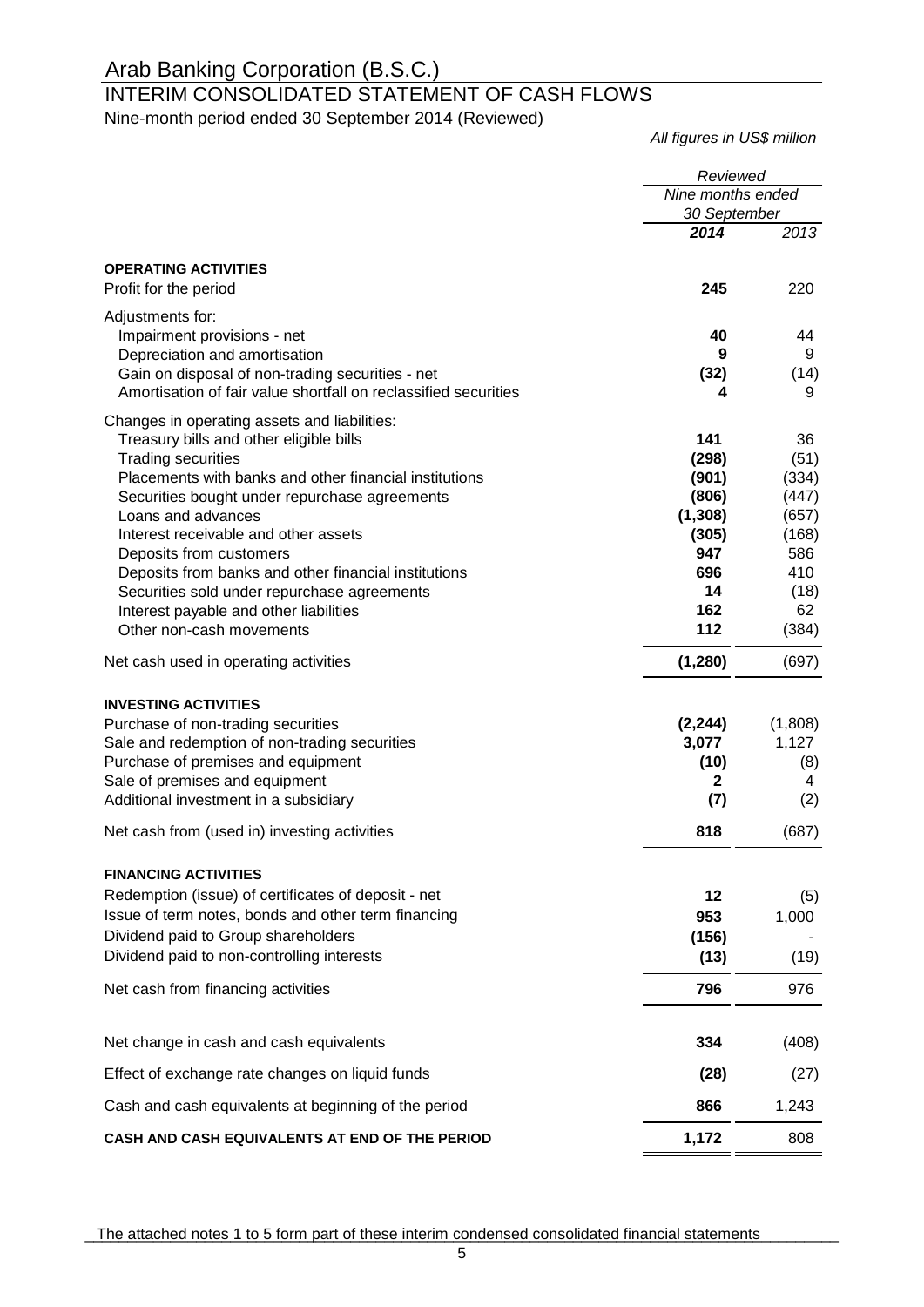# INTERIM CONSOLIDATED STATEMENT OF CASH FLOWS

Nine-month period ended 30 September 2014 (Reviewed)

*All figures in US\$ million*

|                                                                                   | Reviewed                          |                |  |
|-----------------------------------------------------------------------------------|-----------------------------------|----------------|--|
|                                                                                   | Nine months ended<br>30 September |                |  |
|                                                                                   | 2014                              | 2013           |  |
| <b>OPERATING ACTIVITIES</b>                                                       |                                   |                |  |
| Profit for the period                                                             | 245                               | 220            |  |
| Adjustments for:                                                                  |                                   |                |  |
| Impairment provisions - net                                                       | 40                                | 44             |  |
| Depreciation and amortisation<br>Gain on disposal of non-trading securities - net | 9<br>(32)                         | 9<br>(14)      |  |
| Amortisation of fair value shortfall on reclassified securities                   | 4                                 | 9              |  |
| Changes in operating assets and liabilities:                                      |                                   |                |  |
| Treasury bills and other eligible bills                                           | 141                               | 36             |  |
| <b>Trading securities</b>                                                         | (298)                             | (51)           |  |
| Placements with banks and other financial institutions                            | (901)                             | (334)          |  |
| Securities bought under repurchase agreements                                     | (806)                             | (447)          |  |
| Loans and advances<br>Interest receivable and other assets                        | (1, 308)<br>(305)                 | (657)<br>(168) |  |
| Deposits from customers                                                           | 947                               | 586            |  |
| Deposits from banks and other financial institutions                              | 696                               | 410            |  |
| Securities sold under repurchase agreements                                       | 14                                | (18)           |  |
| Interest payable and other liabilities                                            | 162                               | 62             |  |
| Other non-cash movements                                                          | 112                               | (384)          |  |
| Net cash used in operating activities                                             | (1, 280)                          | (697)          |  |
| <b>INVESTING ACTIVITIES</b>                                                       |                                   |                |  |
| Purchase of non-trading securities                                                | (2, 244)                          | (1,808)        |  |
| Sale and redemption of non-trading securities                                     | 3,077                             | 1,127          |  |
| Purchase of premises and equipment                                                | (10)                              | (8)            |  |
| Sale of premises and equipment<br>Additional investment in a subsidiary           | $\mathbf{2}$<br>(7)               | 4<br>(2)       |  |
|                                                                                   |                                   |                |  |
| Net cash from (used in) investing activities                                      | 818                               | (687)          |  |
| <b>FINANCING ACTIVITIES</b>                                                       |                                   |                |  |
| Redemption (issue) of certificates of deposit - net                               | 12                                | (5)            |  |
| Issue of term notes, bonds and other term financing                               | 953                               | 1,000          |  |
| Dividend paid to Group shareholders                                               | (156)                             |                |  |
| Dividend paid to non-controlling interests                                        | (13)                              | (19)           |  |
| Net cash from financing activities                                                | 796                               | 976            |  |
| Net change in cash and cash equivalents                                           | 334                               | (408)          |  |
| Effect of exchange rate changes on liquid funds                                   | (28)                              | (27)           |  |
| Cash and cash equivalents at beginning of the period                              | 866                               | 1,243          |  |
| CASH AND CASH EQUIVALENTS AT END OF THE PERIOD                                    | 1,172                             | 808            |  |

The attached notes 1 to 5 form part of these interim condensed consolidated financial statements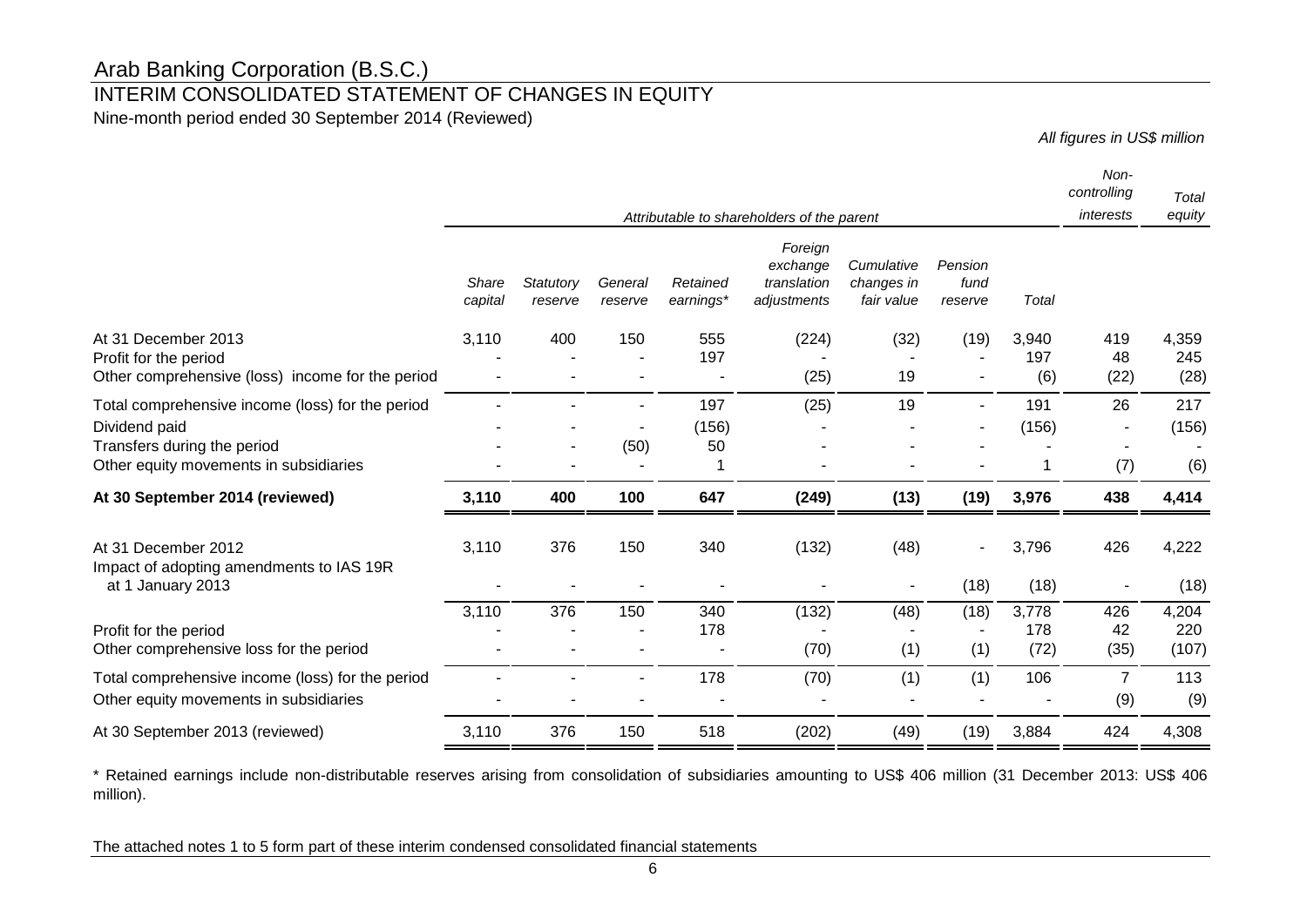### INTERIM CONSOLIDATED STATEMENT OF CHANGES IN EQUITY

Nine-month period ended 30 September 2014 (Reviewed)

*All figures in US\$ million*

|                                                                                                                                            |                  |                      |                    |                       |                                                   |                                        |                            |                      | Non-<br>controlling   | Total                 |
|--------------------------------------------------------------------------------------------------------------------------------------------|------------------|----------------------|--------------------|-----------------------|---------------------------------------------------|----------------------------------------|----------------------------|----------------------|-----------------------|-----------------------|
|                                                                                                                                            |                  |                      |                    |                       | Attributable to shareholders of the parent        |                                        |                            |                      | interests             | equity                |
|                                                                                                                                            | Share<br>capital | Statutory<br>reserve | General<br>reserve | Retained<br>earnings* | Foreign<br>exchange<br>translation<br>adjustments | Cumulative<br>changes in<br>fair value | Pension<br>fund<br>reserve | Total                |                       |                       |
| At 31 December 2013<br>Profit for the period<br>Other comprehensive (loss) income for the period                                           | 3,110            | 400                  | 150                | 555<br>197            | (224)<br>(25)                                     | (32)<br>19                             | (19)                       | 3,940<br>197<br>(6)  | 419<br>48<br>(22)     | 4,359<br>245<br>(28)  |
| Total comprehensive income (loss) for the period<br>Dividend paid<br>Transfers during the period<br>Other equity movements in subsidiaries |                  |                      | (50)               | 197<br>(156)<br>50    | (25)                                              | 19                                     | $\blacksquare$             | 191<br>(156)         | 26<br>(7)             | 217<br>(156)<br>(6)   |
| At 30 September 2014 (reviewed)                                                                                                            | 3,110            | 400                  | 100                | 647                   | (249)                                             | (13)                                   | (19)                       | 3,976                | 438                   | 4,414                 |
| At 31 December 2012<br>Impact of adopting amendments to IAS 19R<br>at 1 January 2013                                                       | 3,110            | 376                  | 150                | 340                   | (132)                                             | (48)                                   | (18)                       | 3,796<br>(18)        | 426                   | 4,222<br>(18)         |
| Profit for the period<br>Other comprehensive loss for the period                                                                           | 3,110            | 376                  | 150                | 340<br>178            | (132)<br>(70)                                     | (48)<br>(1)                            | (18)<br>(1)                | 3,778<br>178<br>(72) | 426<br>42<br>(35)     | 4,204<br>220<br>(107) |
| Total comprehensive income (loss) for the period<br>Other equity movements in subsidiaries                                                 |                  |                      |                    | 178                   | (70)                                              | (1)                                    | (1)                        | 106                  | $\overline{7}$<br>(9) | 113<br>(9)            |
| At 30 September 2013 (reviewed)                                                                                                            | 3,110            | 376                  | 150                | 518                   | (202)                                             | (49)                                   | (19)                       | 3,884                | 424                   | 4,308                 |

\* Retained earnings include non-distributable reserves arising from consolidation of subsidiaries amounting to US\$ 406 million (31 December 2013: US\$ 406 million).

The attached notes 1 to 5 form part of these interim condensed consolidated financial statements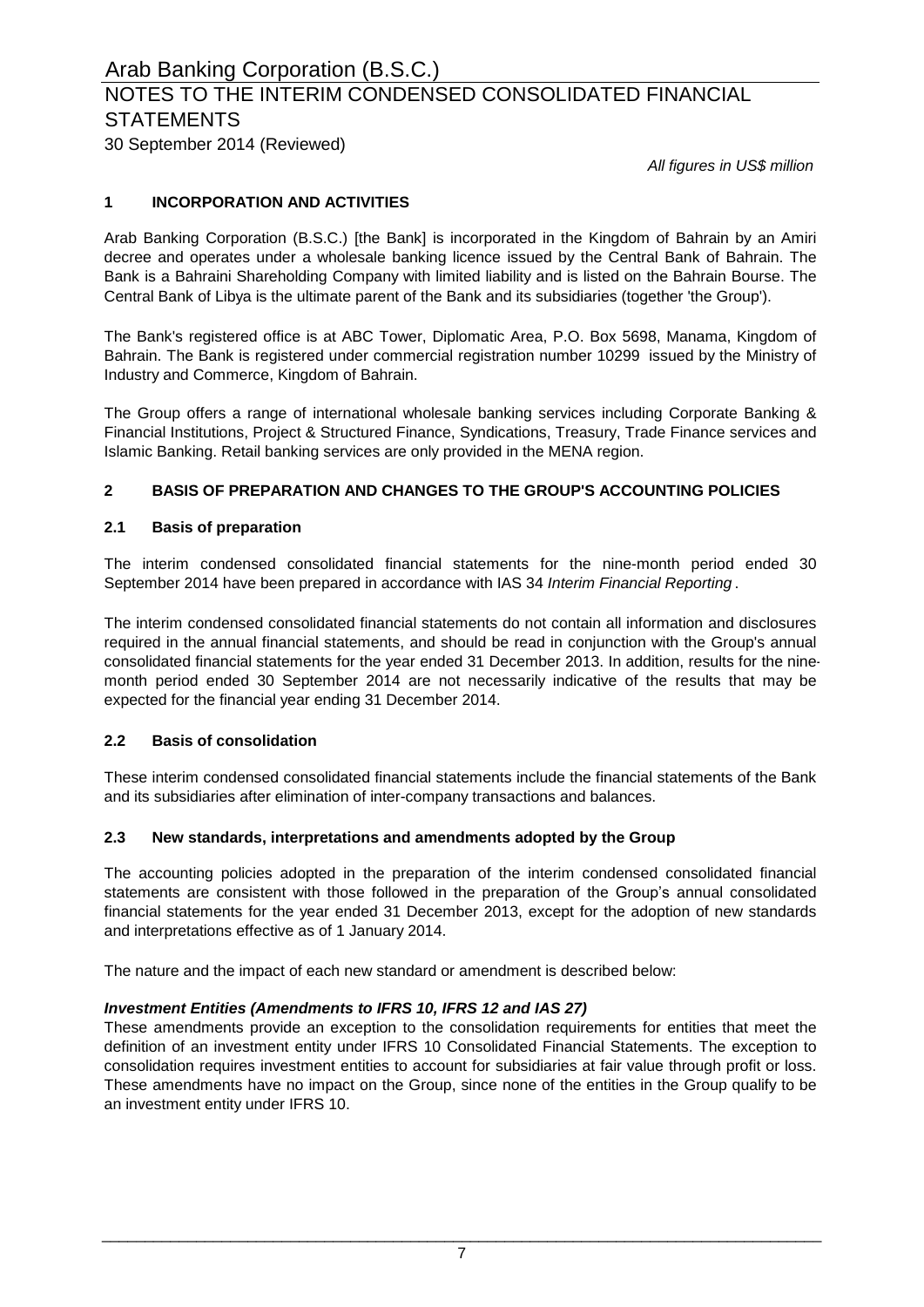# NOTES TO THE INTERIM CONDENSED CONSOLIDATED FINANCIAL **STATEMENTS**

30 September 2014 (Reviewed)

*All figures in US\$ million*

### **1 INCORPORATION AND ACTIVITIES**

Arab Banking Corporation (B.S.C.) [the Bank] is incorporated in the Kingdom of Bahrain by an Amiri decree and operates under a wholesale banking licence issued by the Central Bank of Bahrain. The Bank is a Bahraini Shareholding Company with limited liability and is listed on the Bahrain Bourse. The Central Bank of Libya is the ultimate parent of the Bank and its subsidiaries (together 'the Group').

The Bank's registered office is at ABC Tower, Diplomatic Area, P.O. Box 5698, Manama, Kingdom of Bahrain. The Bank is registered under commercial registration number 10299 issued by the Ministry of Industry and Commerce, Kingdom of Bahrain.

The Group offers a range of international wholesale banking services including Corporate Banking & Financial Institutions, Project & Structured Finance, Syndications, Treasury, Trade Finance services and Islamic Banking. Retail banking services are only provided in the MENA region.

### **2 BASIS OF PREPARATION AND CHANGES TO THE GROUP'S ACCOUNTING POLICIES**

### **2.1 Basis of preparation**

The interim condensed consolidated financial statements for the nine-month period ended 30 September 2014 have been prepared in accordance with IAS 34 *Interim Financial Reporting* .

The interim condensed consolidated financial statements do not contain all information and disclosures required in the annual financial statements, and should be read in conjunction with the Group's annual consolidated financial statements for the year ended 31 December 2013. In addition, results for the ninemonth period ended 30 September 2014 are not necessarily indicative of the results that may be expected for the financial year ending 31 December 2014.

### **2.2 Basis of consolidation**

These interim condensed consolidated financial statements include the financial statements of the Bank and its subsidiaries after elimination of inter-company transactions and balances.

### **2.3 New standards, interpretations and amendments adopted by the Group**

The accounting policies adopted in the preparation of the interim condensed consolidated financial statements are consistent with those followed in the preparation of the Group's annual consolidated financial statements for the year ended 31 December 2013, except for the adoption of new standards and interpretations effective as of 1 January 2014.

The nature and the impact of each new standard or amendment is described below:

### *Investment Entities (Amendments to IFRS 10, IFRS 12 and IAS 27)*

These amendments provide an exception to the consolidation requirements for entities that meet the definition of an investment entity under IFRS 10 Consolidated Financial Statements. The exception to consolidation requires investment entities to account for subsidiaries at fair value through profit or loss. These amendments have no impact on the Group, since none of the entities in the Group qualify to be an investment entity under IFRS 10.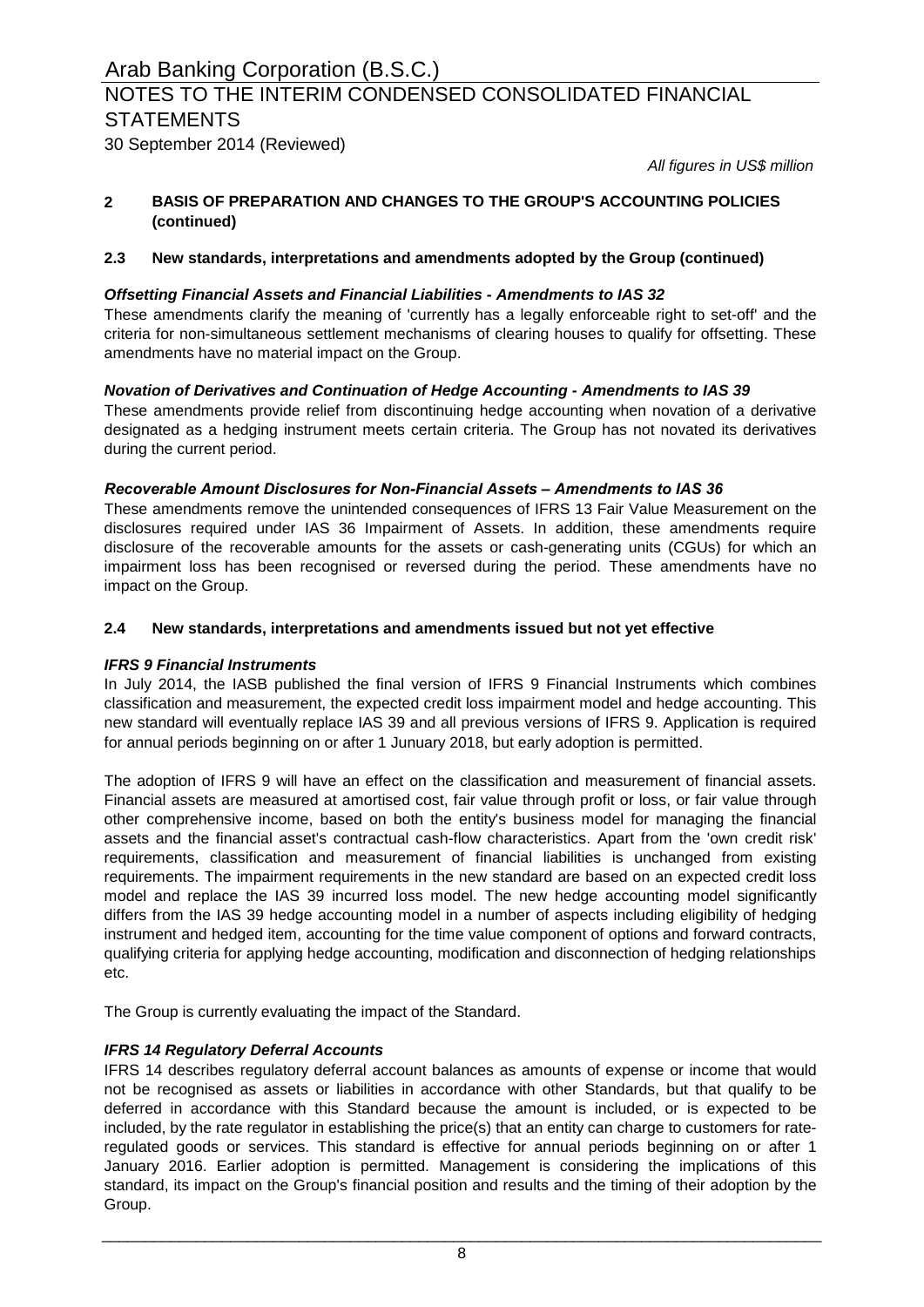30 September 2014 (Reviewed)

*All figures in US\$ million*

#### **2 BASIS OF PREPARATION AND CHANGES TO THE GROUP'S ACCOUNTING POLICIES (continued)**

### **2.3 New standards, interpretations and amendments adopted by the Group (continued)**

### *Offsetting Financial Assets and Financial Liabilities - Amendments to IAS 32*

These amendments clarify the meaning of 'currently has a legally enforceable right to set-off' and the criteria for non-simultaneous settlement mechanisms of clearing houses to qualify for offsetting. These amendments have no material impact on the Group.

### *Novation of Derivatives and Continuation of Hedge Accounting - Amendments to IAS 39*

These amendments provide relief from discontinuing hedge accounting when novation of a derivative designated as a hedging instrument meets certain criteria. The Group has not novated its derivatives during the current period.

### *Recoverable Amount Disclosures for Non-Financial Assets – Amendments to IAS 36*

These amendments remove the unintended consequences of IFRS 13 Fair Value Measurement on the disclosures required under IAS 36 Impairment of Assets. In addition, these amendments require disclosure of the recoverable amounts for the assets or cash-generating units (CGUs) for which an impairment loss has been recognised or reversed during the period. These amendments have no impact on the Group.

### **2.4 New standards, interpretations and amendments issued but not yet effective**

### *IFRS 9 Financial Instruments*

In July 2014, the IASB published the final version of IFRS 9 Financial Instruments which combines classification and measurement, the expected credit loss impairment model and hedge accounting. This new standard will eventually replace IAS 39 and all previous versions of IFRS 9. Application is required for annual periods beginning on or after 1 Junuary 2018, but early adoption is permitted.

The adoption of IFRS 9 will have an effect on the classification and measurement of financial assets. Financial assets are measured at amortised cost, fair value through profit or loss, or fair value through other comprehensive income, based on both the entity's business model for managing the financial assets and the financial asset's contractual cash-flow characteristics. Apart from the 'own credit risk' requirements, classification and measurement of financial liabilities is unchanged from existing requirements. The impairment requirements in the new standard are based on an expected credit loss model and replace the IAS 39 incurred loss model. The new hedge accounting model significantly differs from the IAS 39 hedge accounting model in a number of aspects including eligibility of hedging instrument and hedged item, accounting for the time value component of options and forward contracts, qualifying criteria for applying hedge accounting, modification and disconnection of hedging relationships etc.

The Group is currently evaluating the impact of the Standard.

### *IFRS 14 Regulatory Deferral Accounts*

IFRS 14 describes regulatory deferral account balances as amounts of expense or income that would not be recognised as assets or liabilities in accordance with other Standards, but that qualify to be deferred in accordance with this Standard because the amount is included, or is expected to be included, by the rate regulator in establishing the price(s) that an entity can charge to customers for rateregulated goods or services. This standard is effective for annual periods beginning on or after 1 January 2016. Earlier adoption is permitted. Management is considering the implications of this standard, its impact on the Group's financial position and results and the timing of their adoption by the Group.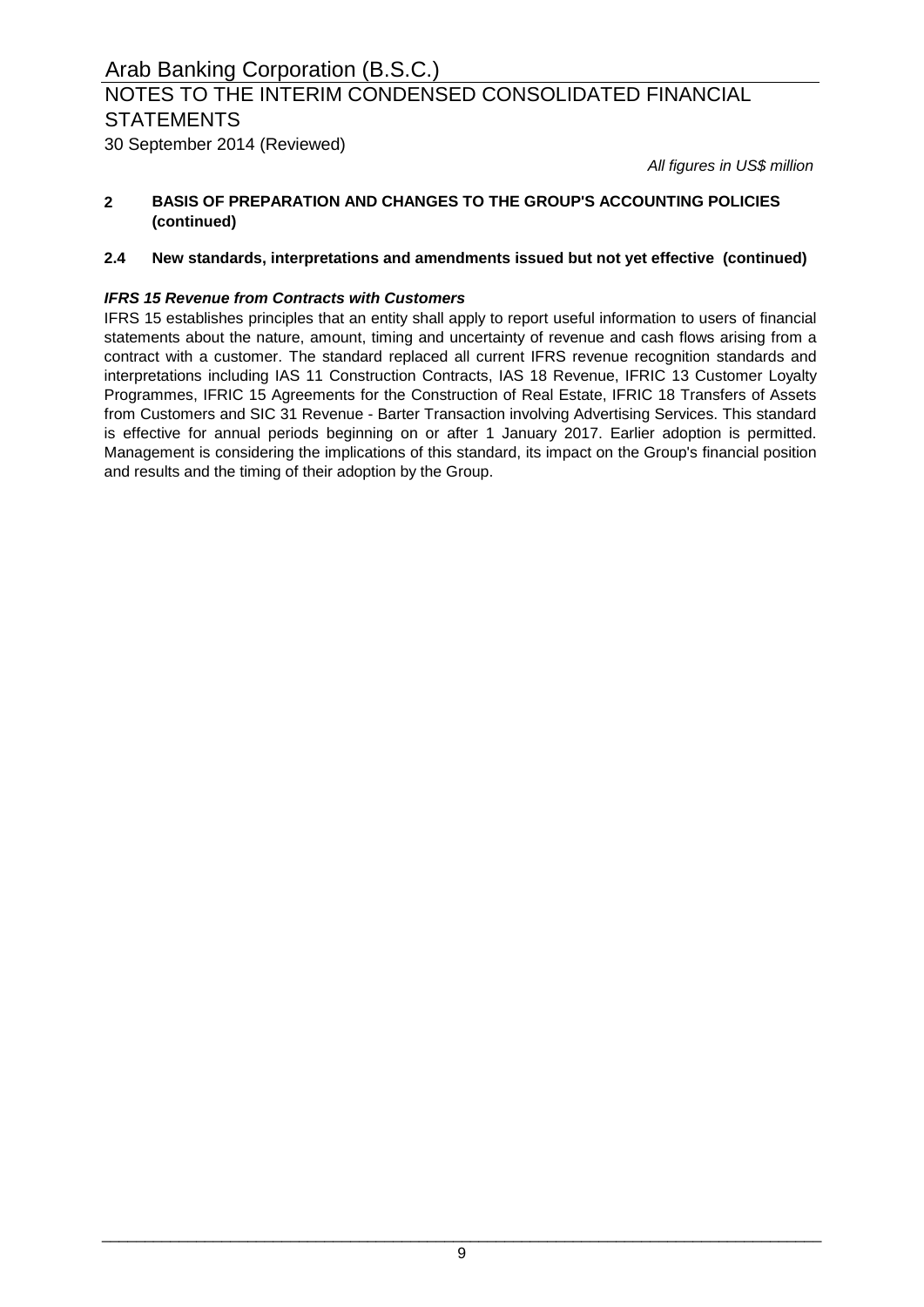30 September 2014 (Reviewed)

*All figures in US\$ million*

#### **2 BASIS OF PREPARATION AND CHANGES TO THE GROUP'S ACCOUNTING POLICIES (continued)**

### **2.4 New standards, interpretations and amendments issued but not yet effective (continued)**

### *IFRS 15 Revenue from Contracts with Customers*

IFRS 15 establishes principles that an entity shall apply to report useful information to users of financial statements about the nature, amount, timing and uncertainty of revenue and cash flows arising from a contract with a customer. The standard replaced all current IFRS revenue recognition standards and interpretations including IAS 11 Construction Contracts, IAS 18 Revenue, IFRIC 13 Customer Loyalty Programmes, IFRIC 15 Agreements for the Construction of Real Estate, IFRIC 18 Transfers of Assets from Customers and SIC 31 Revenue - Barter Transaction involving Advertising Services. This standard is effective for annual periods beginning on or after 1 January 2017. Earlier adoption is permitted. Management is considering the implications of this standard, its impact on the Group's financial position and results and the timing of their adoption by the Group.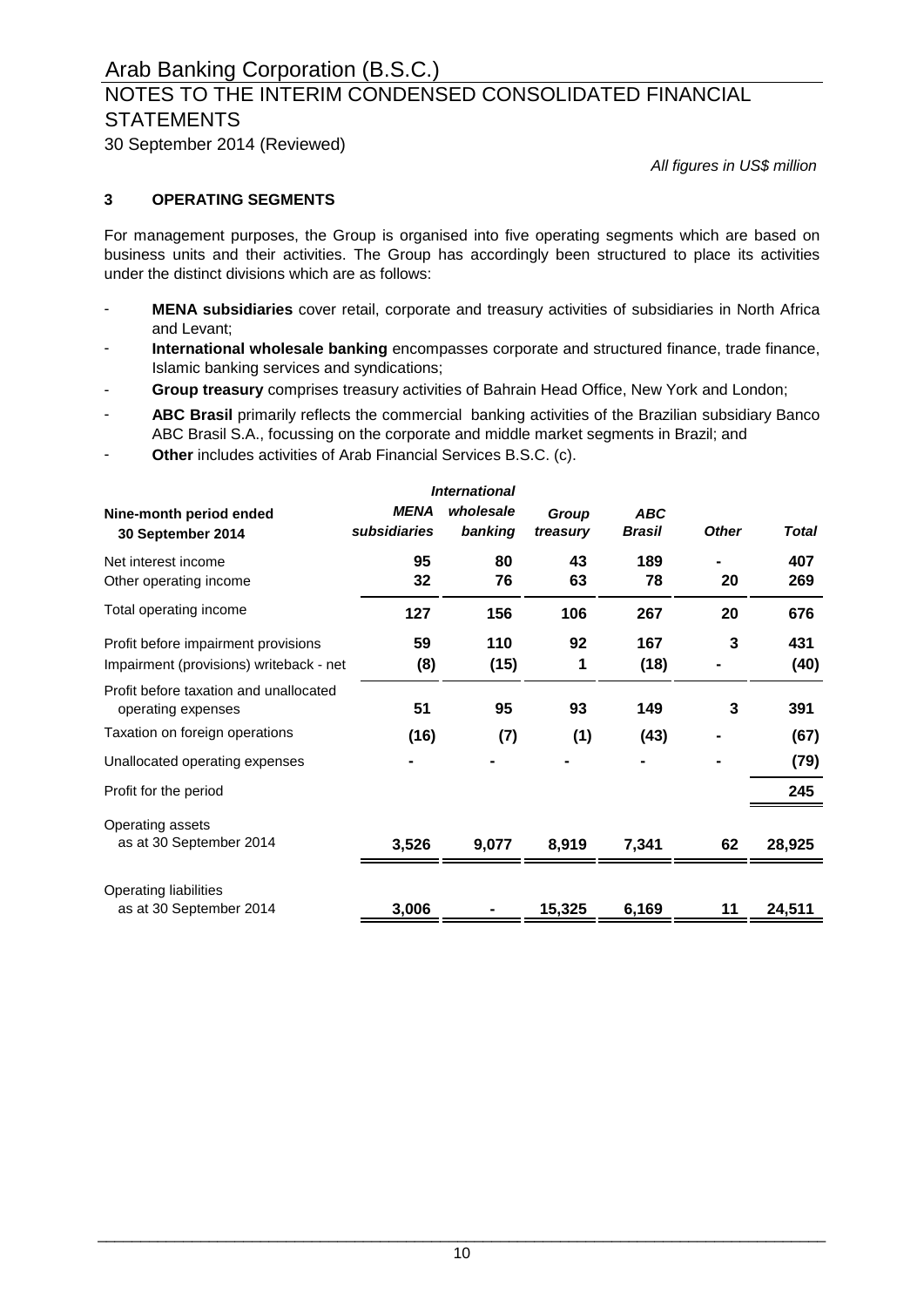30 September 2014 (Reviewed)

*All figures in US\$ million*

### **3 OPERATING SEGMENTS**

For management purposes, the Group is organised into five operating segments which are based on business units and their activities. The Group has accordingly been structured to place its activities under the distinct divisions which are as follows:

- **MENA subsidiaries** cover retail, corporate and treasury activities of subsidiaries in North Africa and Levant;
- **International wholesale banking** encompasses corporate and structured finance, trade finance, Islamic banking services and syndications;
- **Group treasury** comprises treasury activities of Bahrain Head Office, New York and London;
- **ABC Brasil** primarily reflects the commercial banking activities of the Brazilian subsidiary Banco ABC Brasil S.A., focussing on the corporate and middle market segments in Brazil; and
- **Other** includes activities of Arab Financial Services B.S.C. (c).

| <b>International</b>                             |              |           |          |            |              |              |
|--------------------------------------------------|--------------|-----------|----------|------------|--------------|--------------|
| Nine-month period ended                          | <b>MENA</b>  | wholesale | Group    | <b>ABC</b> |              |              |
| 30 September 2014                                | subsidiaries | banking   | treasury | Brasil     | <b>Other</b> | <b>Total</b> |
| Net interest income                              | 95           | 80        | 43       | 189        |              | 407          |
| Other operating income                           | 32           | 76        | 63       | 78         | 20           | 269          |
| Total operating income                           | 127          | 156       | 106      | 267        | 20           | 676          |
| Profit before impairment provisions              | 59           | 110       | 92       | 167        | 3            | 431          |
| Impairment (provisions) writeback - net          | (8)          | (15)      | 1        | (18)       |              | (40)         |
| Profit before taxation and unallocated           |              |           |          |            |              |              |
| operating expenses                               | 51           | 95        | 93       | 149        | 3            | 391          |
| Taxation on foreign operations                   | (16)         | (7)       | (1)      | (43)       |              | (67)         |
| Unallocated operating expenses                   |              |           |          |            |              | (79)         |
| Profit for the period                            |              |           |          |            |              | 245          |
| Operating assets                                 |              |           |          |            |              |              |
| as at 30 September 2014                          | 3,526        | 9,077     | 8,919    | 7,341      | 62           | 28,925       |
|                                                  |              |           |          |            |              |              |
| Operating liabilities<br>as at 30 September 2014 | 3,006        |           |          | 6,169      |              |              |
|                                                  |              |           | 15,325   |            |              | 24,511       |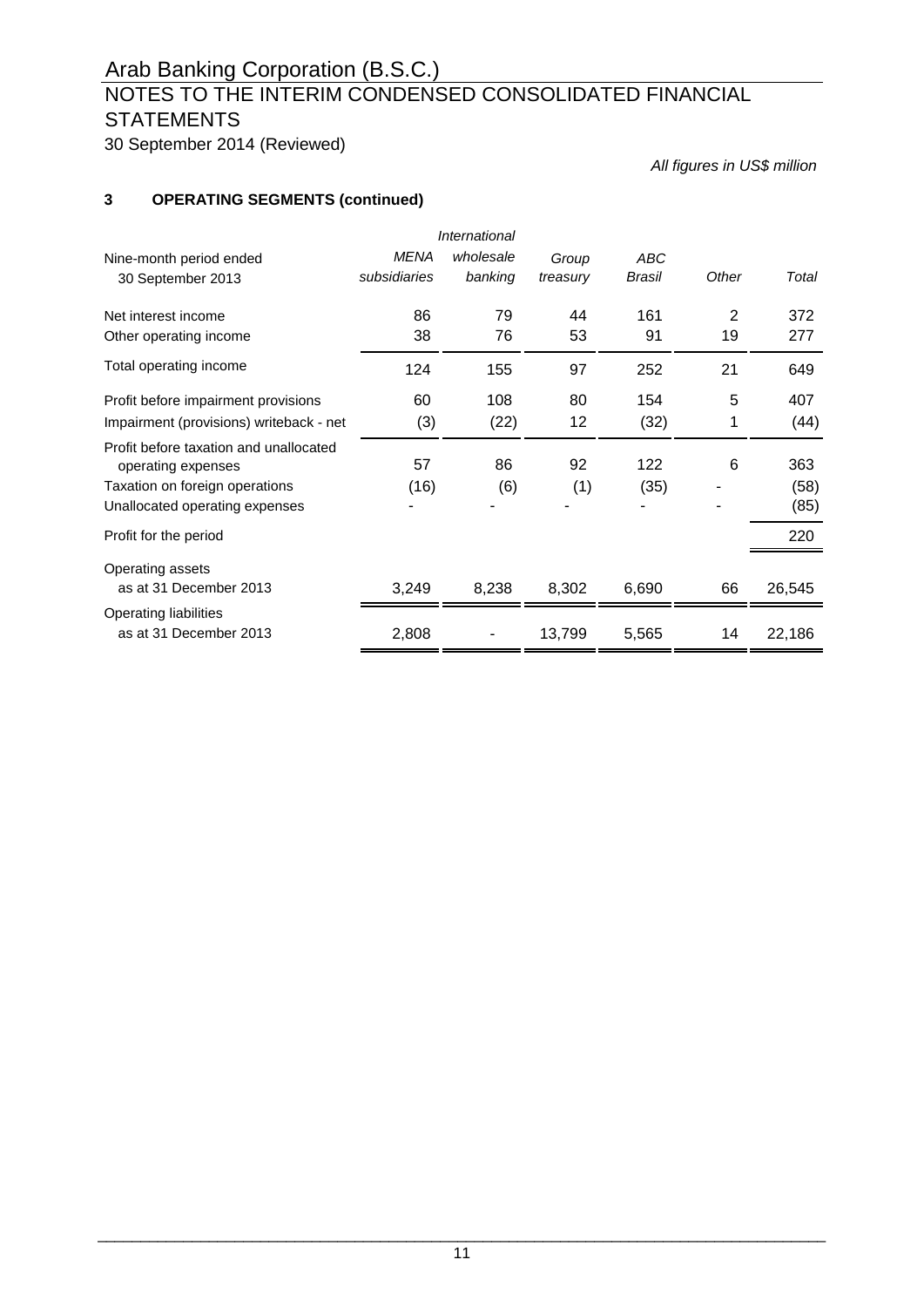# NOTES TO THE INTERIM CONDENSED CONSOLIDATED FINANCIAL **STATEMENTS**

30 September 2014 (Reviewed)

*All figures in US\$ million*

### **3 OPERATING SEGMENTS (continued)**

| International                                                |              |           |          |        |       |        |
|--------------------------------------------------------------|--------------|-----------|----------|--------|-------|--------|
| Nine-month period ended                                      | <b>MENA</b>  | wholesale | Group    | ABC    |       |        |
| 30 September 2013                                            | subsidiaries | banking   | treasury | Brasil | Other | Total  |
| Net interest income                                          | 86           | 79        | 44       | 161    | 2     | 372    |
| Other operating income                                       | 38           | 76        | 53       | 91     | 19    | 277    |
| Total operating income                                       | 124          | 155       | 97       | 252    | 21    | 649    |
| Profit before impairment provisions                          | 60           | 108       | 80       | 154    | 5     | 407    |
| Impairment (provisions) writeback - net                      | (3)          | (22)      | 12       | (32)   | 1     | (44)   |
| Profit before taxation and unallocated<br>operating expenses | 57           | 86        | 92       | 122    | 6     | 363    |
| Taxation on foreign operations                               | (16)         | (6)       | (1)      | (35)   |       | (58)   |
| Unallocated operating expenses                               |              |           |          |        |       | (85)   |
| Profit for the period                                        |              |           |          |        |       | 220    |
| Operating assets                                             |              |           |          |        |       |        |
| as at 31 December 2013                                       | 3,249        | 8,238     | 8,302    | 6,690  | 66    | 26,545 |
| Operating liabilities                                        |              |           |          |        |       |        |
| as at 31 December 2013                                       | 2,808        |           | 13,799   | 5,565  | 14    | 22,186 |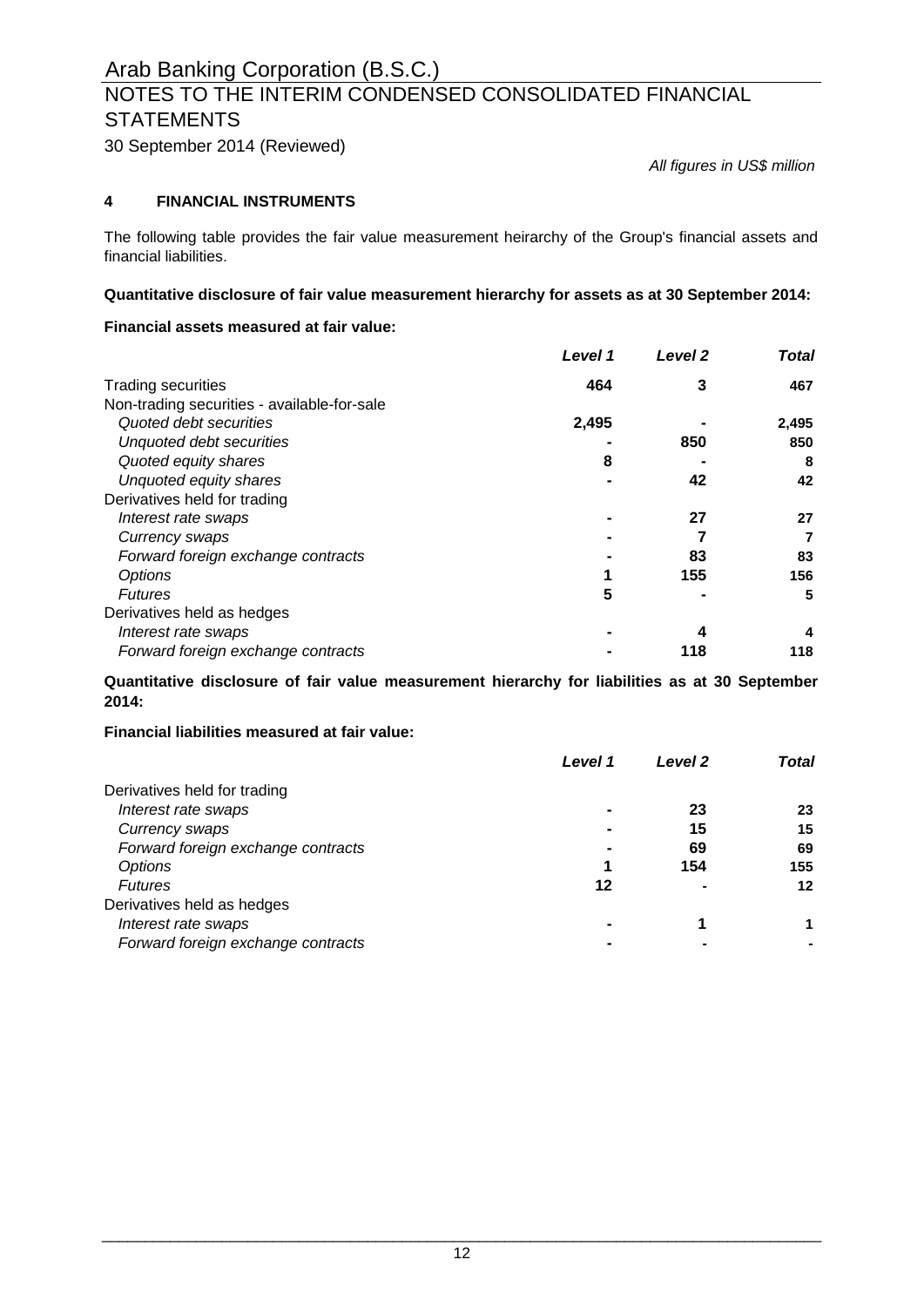# NOTES TO THE INTERIM CONDENSED CONSOLIDATED FINANCIAL **STATEMENTS**

30 September 2014 (Reviewed)

*All figures in US\$ million*

### **4 FINANCIAL INSTRUMENTS**

The following table provides the fair value measurement heirarchy of the Group's financial assets and financial liabilities.

#### **Quantitative disclosure of fair value measurement hierarchy for assets as at 30 September 2014:**

#### **Financial assets measured at fair value:**

|                                             | Level 1 | Level <sub>2</sub> | <b>Total</b> |
|---------------------------------------------|---------|--------------------|--------------|
| <b>Trading securities</b>                   | 464     | 3                  | 467          |
| Non-trading securities - available-for-sale |         |                    |              |
| Quoted debt securities                      | 2,495   |                    | 2,495        |
| Unquoted debt securities                    |         | 850                | 850          |
| Quoted equity shares                        | 8       |                    | 8            |
| Unquoted equity shares                      |         | 42                 | 42           |
| Derivatives held for trading                |         |                    |              |
| Interest rate swaps                         |         | 27                 | 27           |
| Currency swaps                              |         |                    |              |
| Forward foreign exchange contracts          |         | 83                 | 83           |
| Options                                     |         | 155                | 156          |
| <b>Futures</b>                              | 5       |                    | 5            |
| Derivatives held as hedges                  |         |                    |              |
| Interest rate swaps                         |         | 4                  | 4            |
| Forward foreign exchange contracts          |         | 118                | 118          |

**Quantitative disclosure of fair value measurement hierarchy for liabilities as at 30 September 2014:**

#### **Financial liabilities measured at fair value:**

| Level 1                            |    | Level 2 | Total |
|------------------------------------|----|---------|-------|
| Derivatives held for trading       |    |         |       |
| Interest rate swaps                |    | 23      | 23    |
| Currency swaps                     |    | 15      | 15    |
| Forward foreign exchange contracts |    | 69      | 69    |
| Options                            |    | 154     | 155   |
| <b>Futures</b>                     | 12 |         | 12    |
| Derivatives held as hedges         |    |         |       |
| Interest rate swaps                |    |         |       |
| Forward foreign exchange contracts |    |         |       |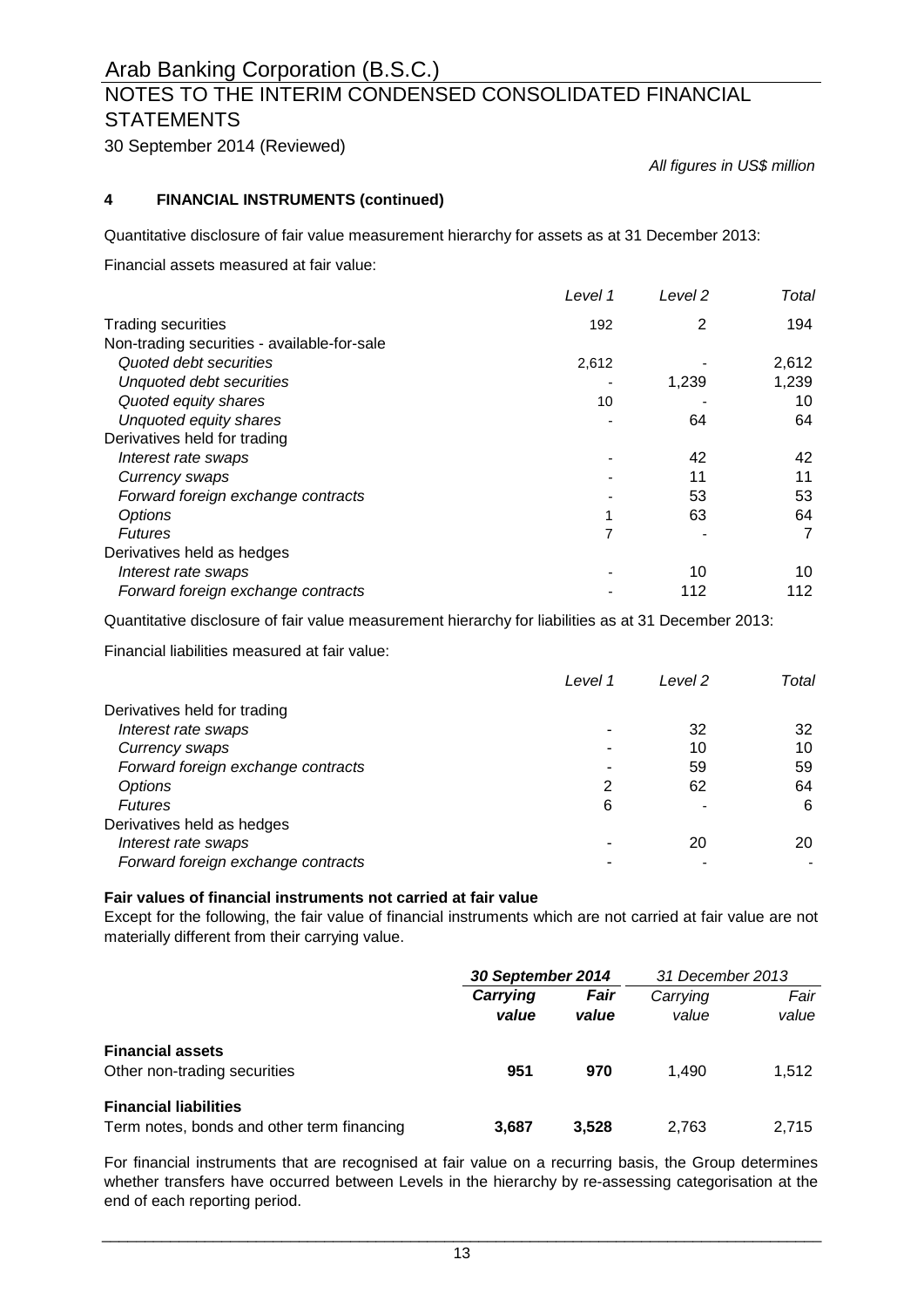# NOTES TO THE INTERIM CONDENSED CONSOLIDATED FINANCIAL **STATEMENTS**

30 September 2014 (Reviewed)

*All figures in US\$ million*

### **4 FINANCIAL INSTRUMENTS (continued)**

Quantitative disclosure of fair value measurement hierarchy for assets as at 31 December 2013:

Financial assets measured at fair value:

|                                             | Level 1 | Level 2 | Total |
|---------------------------------------------|---------|---------|-------|
| <b>Trading securities</b>                   | 192     | 2       | 194   |
| Non-trading securities - available-for-sale |         |         |       |
| Quoted debt securities                      | 2,612   |         | 2,612 |
| Unquoted debt securities                    |         | 1,239   | 1,239 |
| Quoted equity shares                        | 10      |         | 10    |
| Unquoted equity shares                      |         | 64      | 64    |
| Derivatives held for trading                |         |         |       |
| Interest rate swaps                         |         | 42      | 42    |
| Currency swaps                              |         | 11      | 11    |
| Forward foreign exchange contracts          |         | 53      | 53    |
| Options                                     |         | 63      | 64    |
| <b>Futures</b>                              | 7       |         | 7     |
| Derivatives held as hedges                  |         |         |       |
| Interest rate swaps                         |         | 10      | 10    |
| Forward foreign exchange contracts          |         | 112     | 112   |

Quantitative disclosure of fair value measurement hierarchy for liabilities as at 31 December 2013:

Financial liabilities measured at fair value:

|                                    | Level 1 | Level 2 | Total |
|------------------------------------|---------|---------|-------|
| Derivatives held for trading       |         |         |       |
| Interest rate swaps                |         | 32      | 32    |
| Currency swaps                     |         | 10      | 10    |
| Forward foreign exchange contracts |         | 59      | 59    |
| Options                            | 2       | 62      | 64    |
| <b>Futures</b>                     | 6       |         | 6     |
| Derivatives held as hedges         |         |         |       |
| Interest rate swaps                |         | 20      | 20    |
| Forward foreign exchange contracts |         |         |       |

#### **Fair values of financial instruments not carried at fair value**

Except for the following, the fair value of financial instruments which are not carried at fair value are not materially different from their carrying value.

|                                                                            | 30 September 2014 |               | 31 December 2013  |               |
|----------------------------------------------------------------------------|-------------------|---------------|-------------------|---------------|
|                                                                            | Carrying<br>value | Fair<br>value | Carrying<br>value | Fair<br>value |
| <b>Financial assets</b><br>Other non-trading securities                    | 951               | 970           | 1.490             | 1.512         |
| <b>Financial liabilities</b><br>Term notes, bonds and other term financing | 3.687             | 3.528         | 2.763             | 2.715         |

For financial instruments that are recognised at fair value on a recurring basis, the Group determines whether transfers have occurred between Levels in the hierarchy by re-assessing categorisation at the end of each reporting period.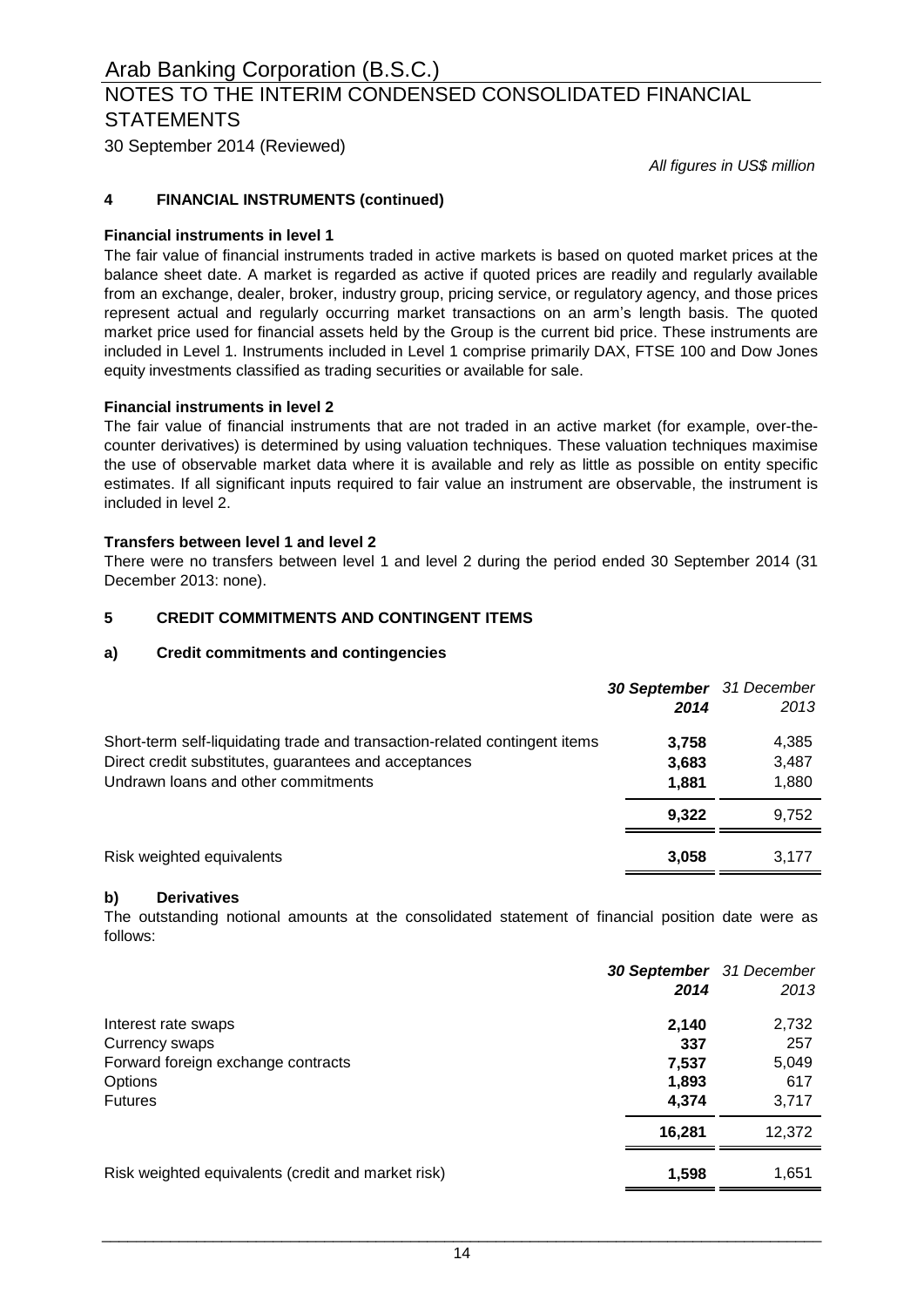30 September 2014 (Reviewed)

*All figures in US\$ million*

### **4 FINANCIAL INSTRUMENTS (continued)**

#### **Financial instruments in level 1**

The fair value of financial instruments traded in active markets is based on quoted market prices at the balance sheet date. A market is regarded as active if quoted prices are readily and regularly available from an exchange, dealer, broker, industry group, pricing service, or regulatory agency, and those prices represent actual and regularly occurring market transactions on an arm's length basis. The quoted market price used for financial assets held by the Group is the current bid price. These instruments are included in Level 1. Instruments included in Level 1 comprise primarily DAX, FTSE 100 and Dow Jones equity investments classified as trading securities or available for sale.

### **Financial instruments in level 2**

The fair value of financial instruments that are not traded in an active market (for example, over-thecounter derivatives) is determined by using valuation techniques. These valuation techniques maximise the use of observable market data where it is available and rely as little as possible on entity specific estimates. If all significant inputs required to fair value an instrument are observable, the instrument is included in level 2.

#### **Transfers between level 1 and level 2**

There were no transfers between level 1 and level 2 during the period ended 30 September 2014 (31 December 2013: none).

#### **5 CREDIT COMMITMENTS AND CONTINGENT ITEMS**

#### **a) Credit commitments and contingencies**

|                                                                                                                                                                            | 30 September 31 December<br>2014 | 2013                    |
|----------------------------------------------------------------------------------------------------------------------------------------------------------------------------|----------------------------------|-------------------------|
| Short-term self-liquidating trade and transaction-related contingent items<br>Direct credit substitutes, guarantees and acceptances<br>Undrawn loans and other commitments | 3,758<br>3,683<br>1.881          | 4,385<br>3,487<br>1,880 |
|                                                                                                                                                                            | 9.322                            | 9.752                   |
| Risk weighted equivalents                                                                                                                                                  | 3.058                            | 3.177                   |

#### **b) Derivatives**

The outstanding notional amounts at the consolidated statement of financial position date were as follows:

|                                                    |        | <b>30 September</b> 31 December |
|----------------------------------------------------|--------|---------------------------------|
|                                                    | 2014   | 2013                            |
| Interest rate swaps                                | 2,140  | 2,732                           |
| Currency swaps                                     | 337    | 257                             |
| Forward foreign exchange contracts                 | 7,537  | 5,049                           |
| Options                                            | 1,893  | 617                             |
| <b>Futures</b>                                     | 4.374  | 3,717                           |
|                                                    | 16,281 | 12,372                          |
| Risk weighted equivalents (credit and market risk) | 1,598  | 1,651                           |